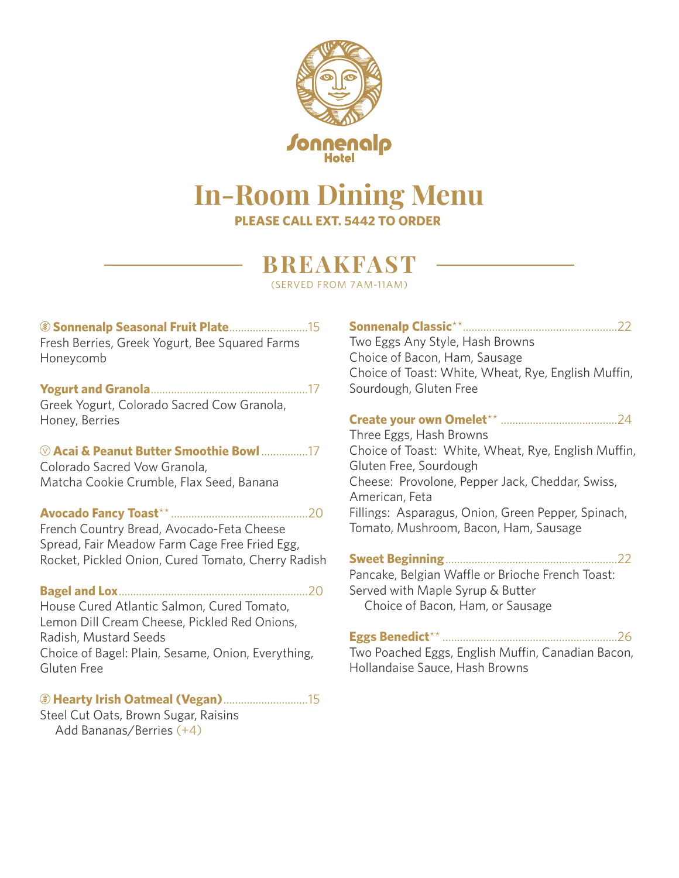

### **In-Room Dining Menu PLEASE CALL EXT. 5442 TO ORDER**

## **BREAKFAST**

(SERVED FROM 7AM-11AM)

#### **Sonnenalp Seasonal Fruit Plate**...........................15 Fresh Berries, Greek Yogurt, Bee Squared Farms Honeycomb

### **Yogurt and Granola**......................................................17

Greek Yogurt, Colorado Sacred Cow Granola, Honey, Berries

#### **Acai & Peanut Butter Smoothie Bowl** ................17

Colorado Sacred Vow Granola, Matcha Cookie Crumble, Flax Seed, Banana

### **Avocado Fancy Toast**\*\* ...............................................20

French Country Bread, Avocado-Feta Cheese Spread, Fair Meadow Farm Cage Free Fried Egg, Rocket, Pickled Onion, Cured Tomato, Cherry Radish

#### **Bagel and Lox**.................................................................20

House Cured Atlantic Salmon, Cured Tomato, Lemon Dill Cream Cheese, Pickled Red Onions, Radish, Mustard Seeds Choice of Bagel: Plain, Sesame, Onion, Everything, Gluten Free

### **Hearty Irish Oatmeal (Vegan)**.............................15

Steel Cut Oats, Brown Sugar, Raisins Add Bananas/Berries (+4)

### **Sonnenalp Classic**\*\*.....................................................22 Two Eggs Any Style, Hash Browns Choice of Bacon, Ham, Sausage Choice of Toast: White, Wheat, Rye, English Muffin, Sourdough, Gluten Free

### **Create your own Omelet**\*\* ........................................24

Three Eggs, Hash Browns Choice of Toast: White, Wheat, Rye, English Muffin, Gluten Free, Sourdough Cheese: Provolone, Pepper Jack, Cheddar, Swiss, American, Feta Fillings: Asparagus, Onion, Green Pepper, Spinach, Tomato, Mushroom, Bacon, Ham, Sausage

**Sweet Beginning**...........................................................22

Pancake, Belgian Waffle or Brioche French Toast: Served with Maple Syrup & Butter Choice of Bacon, Ham, or Sausage

### **Eggs Benedict**\*\* ............................................................26

Two Poached Eggs, English Muffin, Canadian Bacon, Hollandaise Sauce, Hash Browns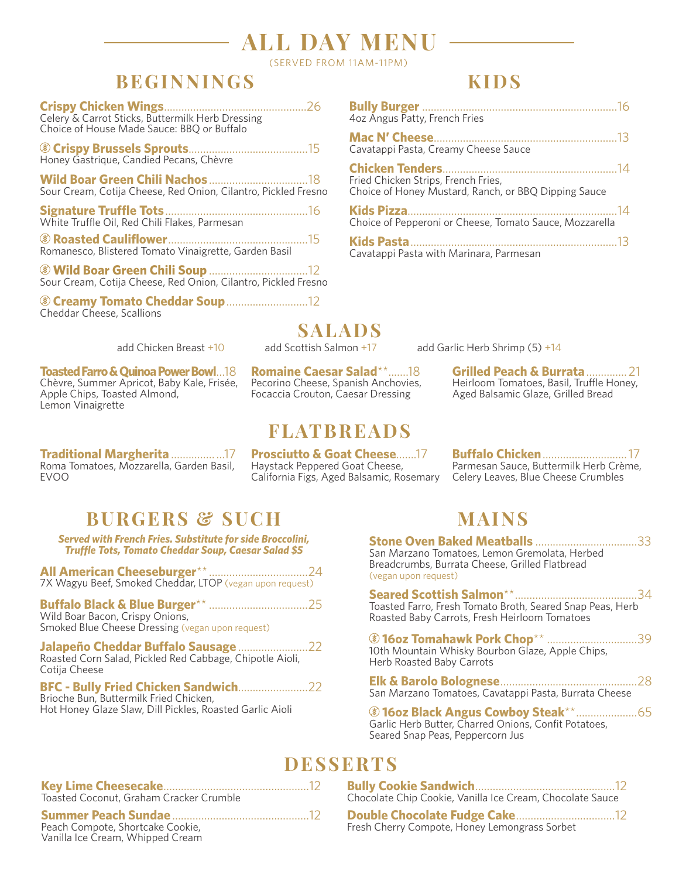# **ALL DAY MENU**

(SERVED FROM 11AM-11PM)

### **BEGINNINGS**

| Celery & Carrot Sticks, Buttermilk Herb Dressing |
|--------------------------------------------------|
| Choice of House Made Sauce: BBQ or Buffalo       |

|  | Honey Gastrique, Candied Pecans, Chèvre |  |  |
|--|-----------------------------------------|--|--|

**Wild Boar Green Chili Nachos**..................................18 Sour Cream, Cotija Cheese, Red Onion, Cilantro, Pickled Fresno

**Signature Truffle Tots**.................................................16 White Truffle Oil, Red Chili Flakes, Parmesan

 **Roasted Cauliflower**................................................15 Romanesco, Blistered Tomato Vinaigrette, Garden Basil

**Wild Boar Green Chili Soup** ..................................12 Sour Cream, Cotija Cheese, Red Onion, Cilantro, Pickled Fresno

 **Creamy Tomato Cheddar Soup**............................12 Cheddar Cheese, Scallions

### **KIDS**

| 4oz Angus Patty, French Fries                                                               |
|---------------------------------------------------------------------------------------------|
| Cavatappi Pasta, Creamy Cheese Sauce                                                        |
| Fried Chicken Strips, French Fries,<br>Choice of Honey Mustard, Ranch, or BBQ Dipping Sauce |
| Choice of Pepperoni or Cheese, Tomato Sauce, Mozzarella                                     |
| Cavatappi Pasta with Marinara, Parmesan                                                     |

**SALADS**<br>add Scottish Salmon +17

**Toasted Farro & Quinoa Power Bowl**...18 Chèvre, Summer Apricot, Baby Kale, Frisée, Apple Chips, Toasted Almond, Lemon Vinaigrette

**Traditional Margherita** ............... ...17 Roma Tomatoes, Mozzarella, Garden Basil,

EVOO

**Romaine Caesar Salad**\*\*.......18 Pecorino Cheese, Spanish Anchovies, Focaccia Crouton, Caesar Dressing

### **FLATBREADS**

**Prosciutto & Goat Cheese**.......17 Haystack Peppered Goat Cheese, California Figs, Aged Balsamic, Rosemary

add Chicken Breast +10 add Scottish Salmon +17 add Garlic Herb Shrimp (5) +14

**Grilled Peach & Burrata**..............21 Heirloom Tomatoes, Basil, Truffle Honey, Aged Balsamic Glaze, Grilled Bread

**Buffalo Chicken**.............................17 Parmesan Sauce, Buttermilk Herb Crème, Celery Leaves, Blue Cheese Crumbles

## **BURGERS & SUCH**

*Served with French Fries. Substitute for side Broccolini, Truffle Tots, Tomato Cheddar Soup, Caesar Salad \$5*

**All American Cheeseburger**\*\* ..................................24 7X Wagyu Beef, Smoked Cheddar, LTOP (vegan upon request)

**Buffalo Black & Blue Burger**\*\* ..................................25 Wild Boar Bacon, Crispy Onions, Smoked Blue Cheese Dressing (vegan upon request)

**Jalapeño Cheddar Buffalo Sausage** ........................22 Roasted Corn Salad, Pickled Red Cabbage, Chipotle Aioli, Cotija Cheese

**BFC - Bully Fried Chicken Sandwich**........................22 Brioche Bun, Buttermilk Fried Chicken, Hot Honey Glaze Slaw, Dill Pickles, Roasted Garlic Aioli

### **MAINS**

**Stone Oven Baked Meatballs** ...................................33 San Marzano Tomatoes, Lemon Gremolata, Herbed Breadcrumbs, Burrata Cheese, Grilled Flatbread

.........34<br>Herb Toasted Farro, Fresh Tomato Broth, Seared Snap Peas, Herb Roasted Baby Carrots, Fresh Heirloom Tomatoes

**16oz Tomahawk Pork Chop**\*\* ...............................39 10th Mountain Whisky Bourbon Glaze, Apple Chips, Herb Roasted Baby Carrots

**Elk & Barolo Bolognese**...............................................28 San Marzano Tomatoes, Cavatappi Pasta, Burrata Cheese

**16oz Black Angus Cowboy Steak**\*\*.....................65 Garlic Herb Butter, Charred Onions, Confit Potatoes, Seared Snap Peas, Peppercorn Jus

## **DESSERTS**

**Bully Cookie Sandwich**................................................12 Chocolate Chip Cookie, Vanilla Ice Cream, Chocolate Sauce

**Double Chocolate Fudge Cake**..................................12 Fresh Cherry Compote, Honey Lemongrass Sorbet

### **Key Lime Cheesecake**..................................................12

Toasted Coconut, Graham Cracker Crumble

#### **Summer Peach Sundae**...............................................12

Peach Compote, Shortcake Cookie, Vanilla Ice Cream, Whipped Cream

(vegan upon request)

| (vegan upon request)                                 |  |
|------------------------------------------------------|--|
| Seared Scottish Salmon**                             |  |
| Toasted Farro, Fresh Tomato Broth, Seared Snap Peas, |  |